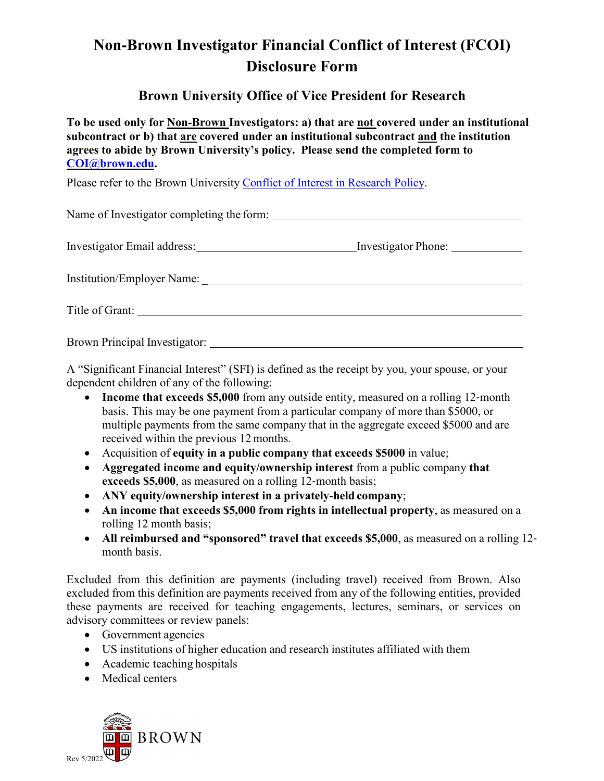# **Non**‐**Brown Investigator Financial Conflict of Interest (FCOI) Disclosure Form**

# **Brown University Office of Vice President for Research**

**To be used only for Non**‐**Brown Investigators: a) that are not covered under an institutional subcontract or b) that are covered under an institutional subcontract and the institution agrees to abide by Brown University's policy. Please send the completed form to [COI@brown.edu.](file://files.brown.edu/dfs/ResearchProtection_Shared/COI%20&%20COC/Non-Brown%20FCOI%20Assurance%20forms/templates/COI@brown.edu)**

Please refer to the Brown University Conflict of Interest [in Research Policy.](https://policy.brown.edu/policy/conflict-interest-research-policy)

Name of Investigator completing the form:

| <b>Investigator Email address:</b> | Investigator Phone: |  |
|------------------------------------|---------------------|--|
|                                    |                     |  |

Institution/Employer Name: \_

Title of Grant:

Brown Principal Investigator:

A "Significant Financial Interest" (SFI) is defined as the receipt by you, your spouse, or your dependent children of any of the following:

- **Income that exceeds \$5,000** from any outside entity, measured on a rolling 12-month basis. This may be one payment from a particular company of more than \$5000, or multiple payments from the same company that in the aggregate exceed \$5000 and are received within the previous 12 months.
- Acquisition of **equity in a public company that exceeds \$5000** in value;
- **Aggregated income and equity/ownership interest** from a public company **that exceeds \$5,000**, as measured on a rolling 12-month basis;
- **ANY equity/ownership interest in a privately**‐**held company**;
- **An income that exceeds \$5,000 from rights in intellectual property**, as measured on a rolling 12 month basis;
- **All reimbursed and "sponsored" travel that exceeds \$5,000**, as measured on a rolling 12‐ month basis.

Excluded from this definition are payments (including travel) received from Brown. Also excluded from this definition are payments received from any of the following entities, provided these payments are received for teaching engagements, lectures, seminars, or services on advisory committees or review panels:

- Government agencies
- US institutions of higher education and research institutes affiliated with them
- Academic teaching hospitals
- Medical centers

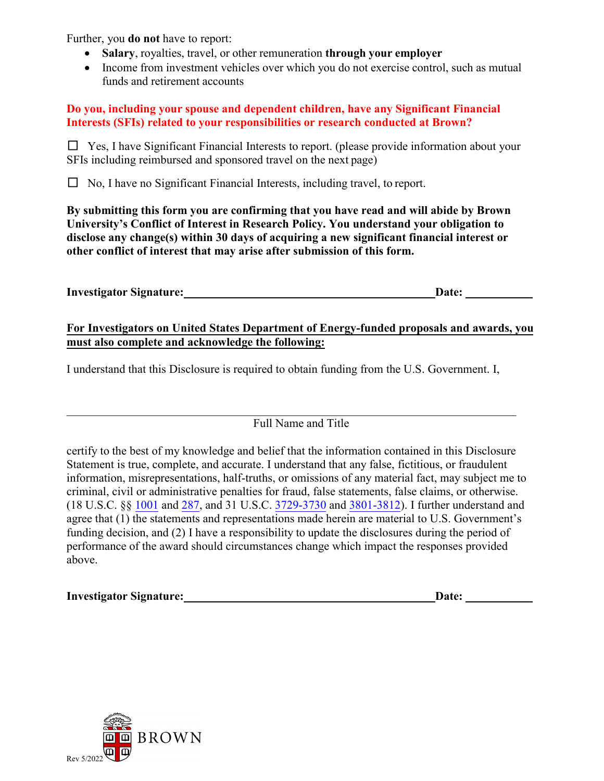Further, you **do not** have to report:

- **Salary**, royalties, travel, or other remuneration **through your employer**
- Income from investment vehicles over which you do not exercise control, such as mutual funds and retirement accounts

#### **Do you, including your spouse and dependent children, have any Significant Financial Interests (SFIs) related to your responsibilities or research conducted at Brown?**

□ Yes, I have Significant Financial Interests to report. (please provide information about your SFIs including reimbursed and sponsored travel on the next page)

 $\Box$  No, I have no Significant Financial Interests, including travel, to report.

**By submitting this form you are confirming that you have read and will abide by Brown University's Conflict of Interest in Research Policy. You understand your obligation to disclose any change(s) within 30 days of acquiring a new significant financial interest or other conflict of interest that may arise after submission of this form.** 

| <b>Investigator Signature:</b> | <b>Date:</b> |  |
|--------------------------------|--------------|--|
|                                |              |  |

### **For Investigators on United States Department of Energy-funded proposals and awards, you must also complete and acknowledge the following:**

I understand that this Disclosure is required to obtain funding from the U.S. Government. I,

## Full Name and Title

certify to the best of my knowledge and belief that the information contained in this Disclosure Statement is true, complete, and accurate. I understand that any false, fictitious, or fraudulent information, misrepresentations, half-truths, or omissions of any material fact, may subject me to criminal, civil or administrative penalties for fraud, false statements, false claims, or otherwise. (18 U.S.C. §§ [1001](https://www.govinfo.gov/content/pkg/USCODE-2010-title18/html/USCODE-2010-title18-partI-chap47-sec1001.htm) an[d 287,](https://www.govinfo.gov/content/pkg/USCODE-2011-title18/html/USCODE-2011-title18-partI-chap15-sec287.htm) and 31 U.S.C. [3729-3730](https://www.govinfo.gov/content/pkg/USCODE-2011-title31/pdf/USCODE-2011-title31-subtitleIII-chap37-subchapIII-sec3729.pdf) an[d 3801-3812\)](https://uscode.house.gov/view.xhtml?path=/prelim@title31/subtitle3/chapter38&edition=prelim). I further understand and agree that (1) the statements and representations made herein are material to U.S. Government's funding decision, and (2) I have a responsibility to update the disclosures during the period of performance of the award should circumstances change which impact the responses provided above.

| <b>Investigator Signature:</b> | Date: |
|--------------------------------|-------|
|                                |       |